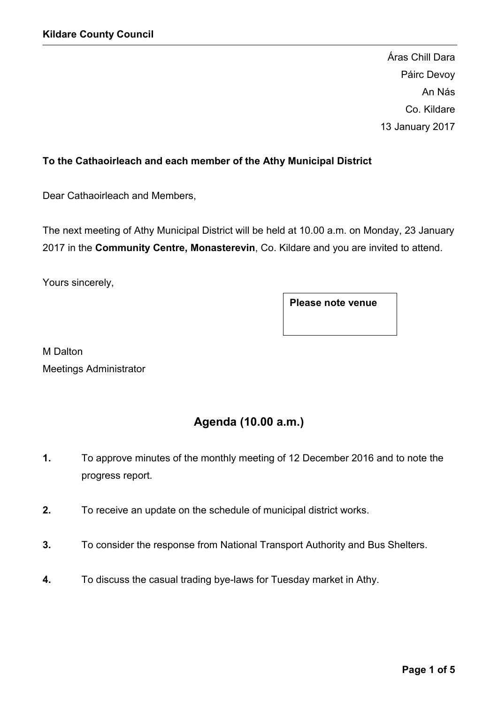Áras Chill Dara Páirc Devoy An Nás Co. Kildare 13 January 2017

### To the Cathaoirleach and each member of the Athy Municipal District

Dear Cathaoirleach and Members,

The next meeting of Athy Municipal District will be held at 10.00 a.m. on Monday, 23 January 2017 in the Community Centre, Monasterevin, Co. Kildare and you are invited to attend.

Yours sincerely,

Please note venue

M Dalton Meetings Administrator

# Agenda (10.00 a.m.)

- 1. To approve minutes of the monthly meeting of 12 December 2016 and to note the progress report.
- 2. To receive an update on the schedule of municipal district works.
- 3. To consider the response from National Transport Authority and Bus Shelters.
- 4. To discuss the casual trading bye-laws for Tuesday market in Athy.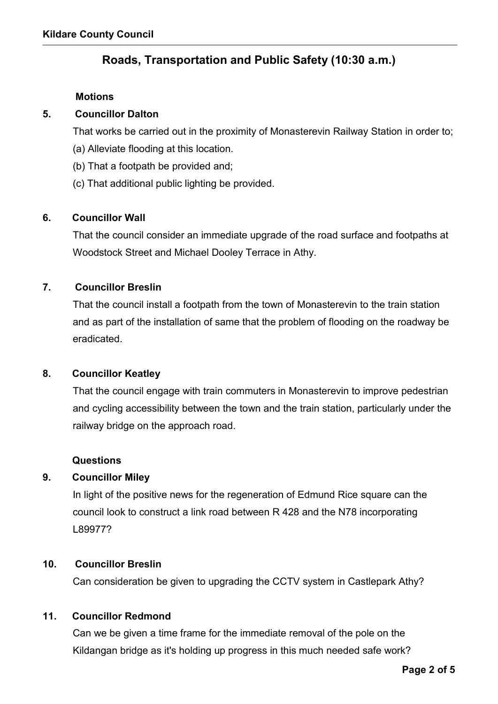## Roads, Transportation and Public Safety (10:30 a.m.)

#### **Motions**

#### 5. Councillor Dalton

That works be carried out in the proximity of Monasterevin Railway Station in order to;

- (a) Alleviate flooding at this location.
- (b) That a footpath be provided and;
- (c) That additional public lighting be provided.

### 6. Councillor Wall

That the council consider an immediate upgrade of the road surface and footpaths at Woodstock Street and Michael Dooley Terrace in Athy.

### 7. Councillor Breslin

That the council install a footpath from the town of Monasterevin to the train station and as part of the installation of same that the problem of flooding on the roadway be eradicated.

#### 8. Councillor Keatley

That the council engage with train commuters in Monasterevin to improve pedestrian and cycling accessibility between the town and the train station, particularly under the railway bridge on the approach road.

#### Questions

#### 9. Councillor Miley

In light of the positive news for the regeneration of Edmund Rice square can the council look to construct a link road between R 428 and the N78 incorporating L89977?

#### 10. Councillor Breslin

Can consideration be given to upgrading the CCTV system in Castlepark Athy?

#### 11. Councillor Redmond

Can we be given a time frame for the immediate removal of the pole on the Kildangan bridge as it's holding up progress in this much needed safe work?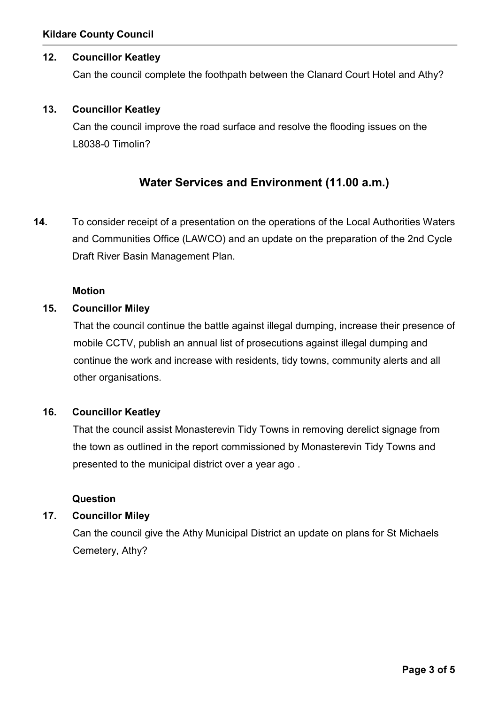### 12. Councillor Keatley

Can the council complete the foothpath between the Clanard Court Hotel and Athy?

#### 13. Councillor Keatley

Can the council improve the road surface and resolve the flooding issues on the L8038-0 Timolin?

## Water Services and Environment (11.00 a.m.)

14. To consider receipt of a presentation on the operations of the Local Authorities Waters and Communities Office (LAWCO) and an update on the preparation of the 2nd Cycle Draft River Basin Management Plan.

### Motion

#### 15. Councillor Miley

That the council continue the battle against illegal dumping, increase their presence of mobile CCTV, publish an annual list of prosecutions against illegal dumping and continue the work and increase with residents, tidy towns, community alerts and all other organisations.

#### 16. Councillor Keatley

That the council assist Monasterevin Tidy Towns in removing derelict signage from the town as outlined in the report commissioned by Monasterevin Tidy Towns and presented to the municipal district over a year ago .

### **Question**

#### 17. Councillor Miley

Can the council give the Athy Municipal District an update on plans for St Michaels Cemetery, Athy?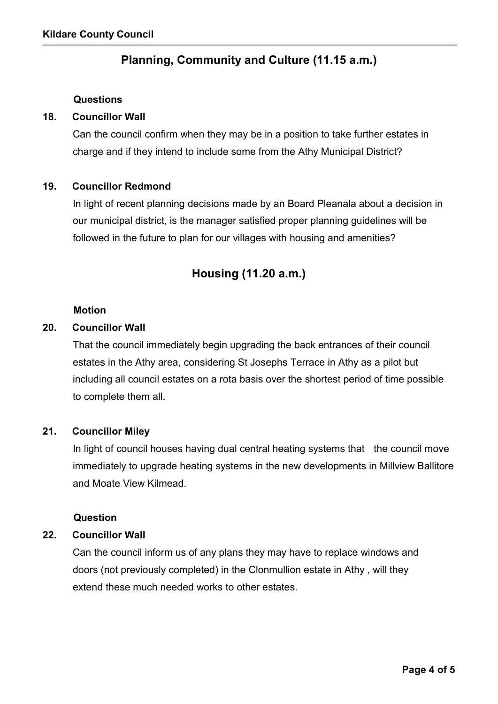# Planning, Community and Culture (11.15 a.m.)

#### Questions

#### 18. Councillor Wall

Can the council confirm when they may be in a position to take further estates in charge and if they intend to include some from the Athy Municipal District?

#### 19. Councillor Redmond

In light of recent planning decisions made by an Board Pleanala about a decision in our municipal district, is the manager satisfied proper planning guidelines will be followed in the future to plan for our villages with housing and amenities?

## Housing (11.20 a.m.)

#### Motion

#### 20. Councillor Wall

That the council immediately begin upgrading the back entrances of their council estates in the Athy area, considering St Josephs Terrace in Athy as a pilot but including all council estates on a rota basis over the shortest period of time possible to complete them all.

#### 21. Councillor Miley

In light of council houses having dual central heating systems that the council move immediately to upgrade heating systems in the new developments in Millview Ballitore and Moate View Kilmead.

#### Question

#### 22. Councillor Wall

Can the council inform us of any plans they may have to replace windows and doors (not previously completed) in the Clonmullion estate in Athy , will they extend these much needed works to other estates.